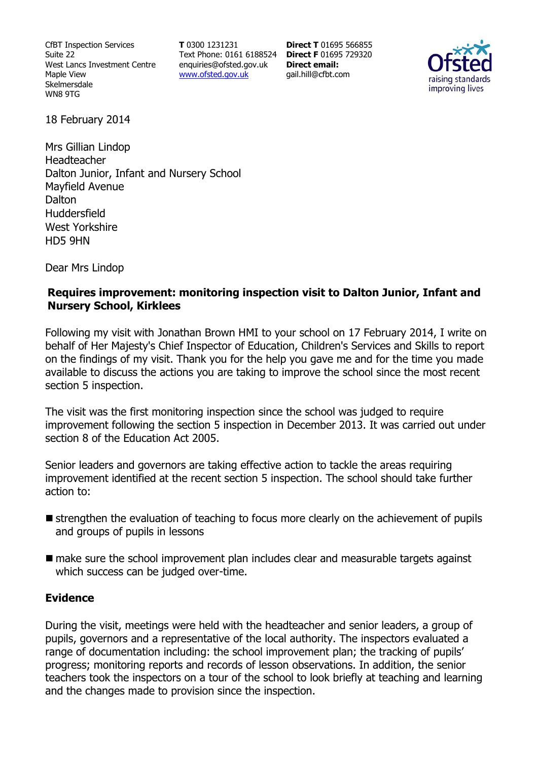CfBT Inspection Services Suite 22 West Lancs Investment Centre Maple View Skelmersdale WN8 9TG

**T** 0300 1231231 Text Phone: 0161 6188524 **Direct F** 01695 729320 enquiries@ofsted.gov.uk www.ofsted.gov.uk

**Direct T** 01695 566855 **Direct email:**  gail.hill@cfbt.com



18 February 2014

Mrs Gillian Lindop Headteacher Dalton Junior, Infant and Nursery School Mayfield Avenue **Dalton** Huddersfield West Yorkshire HD5 9HN

Dear Mrs Lindop

#### **Requires improvement: monitoring inspection visit to Dalton Junior, Infant and Nursery School, Kirklees**

Following my visit with Jonathan Brown HMI to your school on 17 February 2014, I write on behalf of Her Majesty's Chief Inspector of Education, Children's Services and Skills to report on the findings of my visit. Thank you for the help you gave me and for the time you made available to discuss the actions you are taking to improve the school since the most recent section 5 inspection.

The visit was the first monitoring inspection since the school was judged to require improvement following the section 5 inspection in December 2013. It was carried out under section 8 of the Education Act 2005.

Senior leaders and governors are taking effective action to tackle the areas requiring improvement identified at the recent section 5 inspection. The school should take further action to:

- **E** strengthen the evaluation of teaching to focus more clearly on the achievement of pupils and groups of pupils in lessons
- make sure the school improvement plan includes clear and measurable targets against which success can be judged over-time.

#### **Evidence**

During the visit, meetings were held with the headteacher and senior leaders, a group of pupils, governors and a representative of the local authority. The inspectors evaluated a range of documentation including: the school improvement plan; the tracking of pupils' progress; monitoring reports and records of lesson observations. In addition, the senior teachers took the inspectors on a tour of the school to look briefly at teaching and learning and the changes made to provision since the inspection.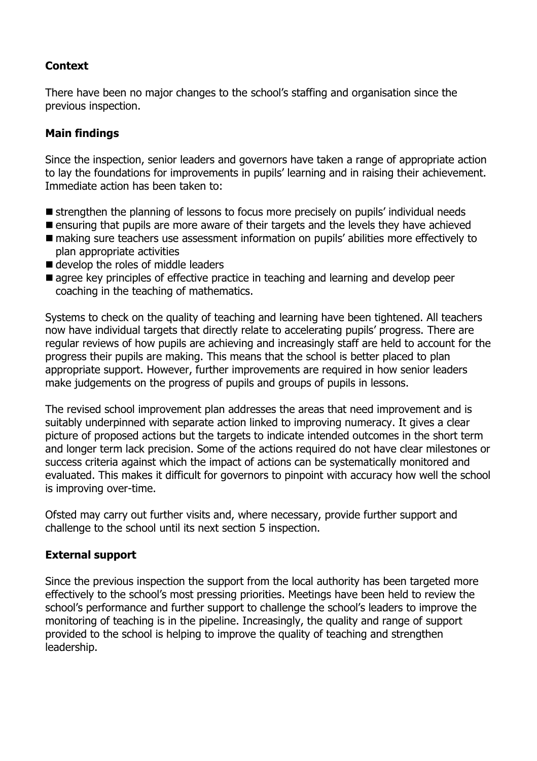# **Context**

There have been no major changes to the school's staffing and organisation since the previous inspection.

## **Main findings**

Since the inspection, senior leaders and governors have taken a range of appropriate action to lay the foundations for improvements in pupils' learning and in raising their achievement. Immediate action has been taken to:

- strengthen the planning of lessons to focus more precisely on pupils' individual needs
- **E** ensuring that pupils are more aware of their targets and the levels they have achieved
- making sure teachers use assessment information on pupils' abilities more effectively to plan appropriate activities
- develop the roles of middle leaders
- **E** agree key principles of effective practice in teaching and learning and develop peer coaching in the teaching of mathematics.

Systems to check on the quality of teaching and learning have been tightened. All teachers now have individual targets that directly relate to accelerating pupils' progress. There are regular reviews of how pupils are achieving and increasingly staff are held to account for the progress their pupils are making. This means that the school is better placed to plan appropriate support. However, further improvements are required in how senior leaders make judgements on the progress of pupils and groups of pupils in lessons.

The revised school improvement plan addresses the areas that need improvement and is suitably underpinned with separate action linked to improving numeracy. It gives a clear picture of proposed actions but the targets to indicate intended outcomes in the short term and longer term lack precision. Some of the actions required do not have clear milestones or success criteria against which the impact of actions can be systematically monitored and evaluated. This makes it difficult for governors to pinpoint with accuracy how well the school is improving over-time.

Ofsted may carry out further visits and, where necessary, provide further support and challenge to the school until its next section 5 inspection.

## **External support**

Since the previous inspection the support from the local authority has been targeted more effectively to the school's most pressing priorities. Meetings have been held to review the school's performance and further support to challenge the school's leaders to improve the monitoring of teaching is in the pipeline. Increasingly, the quality and range of support provided to the school is helping to improve the quality of teaching and strengthen leadership.